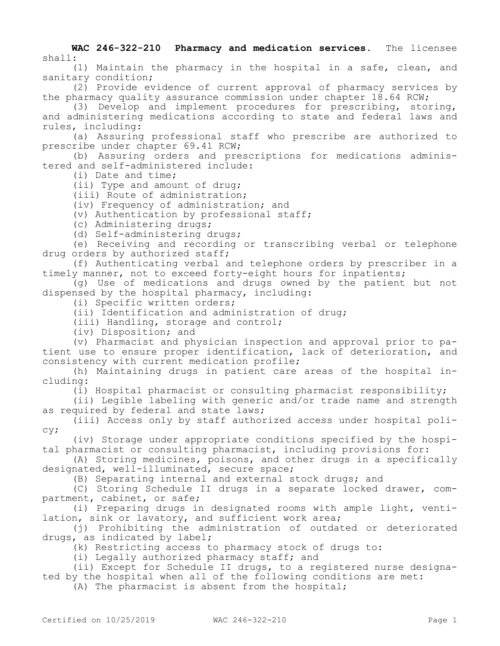**WAC 246-322-210 Pharmacy and medication services.** The licensee shall:

(1) Maintain the pharmacy in the hospital in a safe, clean, and sanitary condition;

(2) Provide evidence of current approval of pharmacy services by the pharmacy quality assurance commission under chapter 18.64 RCW;

(3) Develop and implement procedures for prescribing, storing, and administering medications according to state and federal laws and rules, including:

(a) Assuring professional staff who prescribe are authorized to prescribe under chapter 69.41 RCW;

(b) Assuring orders and prescriptions for medications administered and self-administered include:

(i) Date and time;

(ii) Type and amount of drug;

(iii) Route of administration;

(iv) Frequency of administration; and

(v) Authentication by professional staff;

(c) Administering drugs;

(d) Self-administering drugs;

(e) Receiving and recording or transcribing verbal or telephone drug orders by authorized staff;

(f) Authenticating verbal and telephone orders by prescriber in a timely manner, not to exceed forty-eight hours for inpatients;

(g) Use of medications and drugs owned by the patient but not dispensed by the hospital pharmacy, including:

(i) Specific written orders;

(ii) Identification and administration of drug;

(iii) Handling, storage and control;

(iv) Disposition; and

(v) Pharmacist and physician inspection and approval prior to patient use to ensure proper identification, lack of deterioration, and consistency with current medication profile;

(h) Maintaining drugs in patient care areas of the hospital including:

(i) Hospital pharmacist or consulting pharmacist responsibility;

(ii) Legible labeling with generic and/or trade name and strength as required by federal and state laws;

(iii) Access only by staff authorized access under hospital policy;

(iv) Storage under appropriate conditions specified by the hospital pharmacist or consulting pharmacist, including provisions for:

(A) Storing medicines, poisons, and other drugs in a specifically designated, well-illuminated, secure space;

(B) Separating internal and external stock drugs; and

(C) Storing Schedule II drugs in a separate locked drawer, compartment, cabinet, or safe;

(i) Preparing drugs in designated rooms with ample light, ventilation, sink or lavatory, and sufficient work area;

(j) Prohibiting the administration of outdated or deteriorated drugs, as indicated by label;

(k) Restricting access to pharmacy stock of drugs to:

(i) Legally authorized pharmacy staff; and

(ii) Except for Schedule II drugs, to a registered nurse designated by the hospital when all of the following conditions are met:

(A) The pharmacist is absent from the hospital;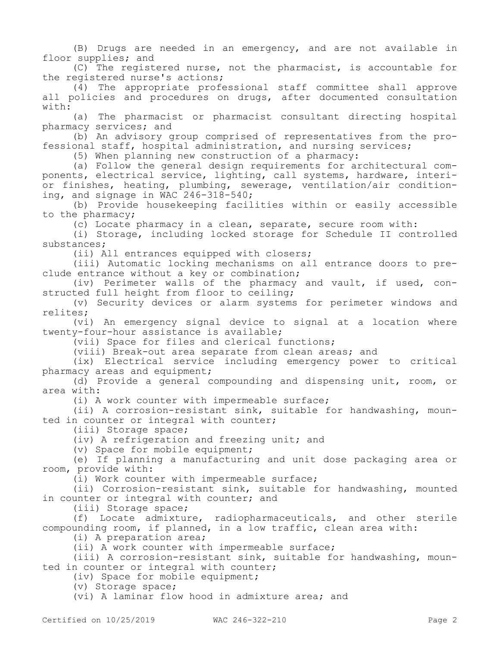(B) Drugs are needed in an emergency, and are not available in floor supplies; and

(C) The registered nurse, not the pharmacist, is accountable for the registered nurse's actions;

(4) The appropriate professional staff committee shall approve all policies and procedures on drugs, after documented consultation with:

(a) The pharmacist or pharmacist consultant directing hospital pharmacy services; and

(b) An advisory group comprised of representatives from the professional staff, hospital administration, and nursing services;

(5) When planning new construction of a pharmacy:

(a) Follow the general design requirements for architectural components, electrical service, lighting, call systems, hardware, interior finishes, heating, plumbing, sewerage, ventilation/air conditioning, and signage in WAC 246-318-540;

(b) Provide housekeeping facilities within or easily accessible to the pharmacy;

(c) Locate pharmacy in a clean, separate, secure room with:

(i) Storage, including locked storage for Schedule II controlled substances;

(ii) All entrances equipped with closers;

(iii) Automatic locking mechanisms on all entrance doors to preclude entrance without a key or combination;

(iv) Perimeter walls of the pharmacy and vault, if used, constructed full height from floor to ceiling;

(v) Security devices or alarm systems for perimeter windows and relites;

(vi) An emergency signal device to signal at a location where twenty-four-hour assistance is available;

(vii) Space for files and clerical functions;

(viii) Break-out area separate from clean areas; and

(ix) Electrical service including emergency power to critical pharmacy areas and equipment;

(d) Provide a general compounding and dispensing unit, room, or area with:

(i) A work counter with impermeable surface;

(ii) A corrosion-resistant sink, suitable for handwashing, mounted in counter or integral with counter;

(iii) Storage space;

(iv) A refrigeration and freezing unit; and

(v) Space for mobile equipment;

(e) If planning a manufacturing and unit dose packaging area or room, provide with:

(i) Work counter with impermeable surface;

(ii) Corrosion-resistant sink, suitable for handwashing, mounted in counter or integral with counter; and

(iii) Storage space;

(f) Locate admixture, radiopharmaceuticals, and other sterile compounding room, if planned, in a low traffic, clean area with:

(i) A preparation area;

(ii) A work counter with impermeable surface;

(iii) A corrosion-resistant sink, suitable for handwashing, mounted in counter or integral with counter;

(iv) Space for mobile equipment;

(v) Storage space;

(vi) A laminar flow hood in admixture area; and